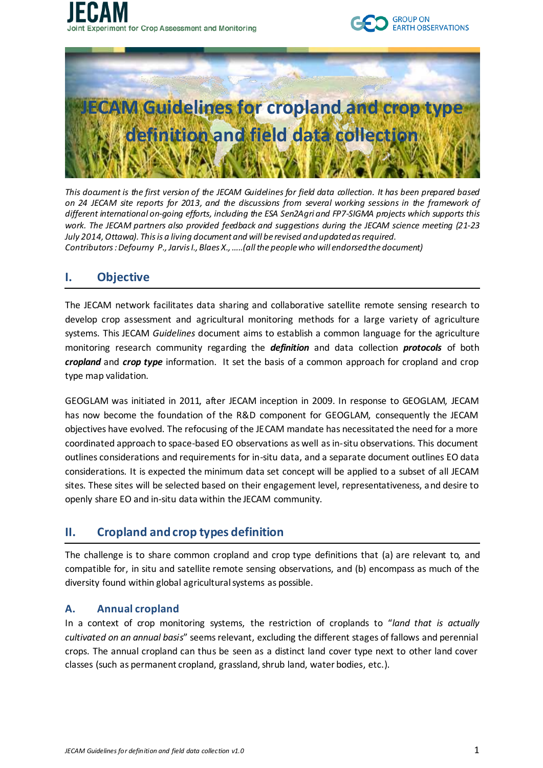





*This document is the first version of the JECAM Guidelines for field data collection. It has been prepared based on 24 JECAM site reports for 2013, and the discussions from several working sessions in the framework of different international on-going efforts, including the ESA Sen2Agri and FP7-SIGMA projects which supports this work. The JECAM partners also provided feedback and suggestions during the JECAM science meeting (21-23 July 2014, Ottawa). This is a living document and will be revised and updated as required. Contributors : Defourny P., Jarvis I., Blaes X., …..(all the people who will endorsed the document)*

## **I. Objective**

The JECAM network facilitates data sharing and collaborative satellite remote sensing research to develop crop assessment and agricultural monitoring methods for a large variety of agriculture systems. This JECAM *Guidelines* document aims to establish a common language for the agriculture monitoring research community regarding the *definition* and data collection *protocols* of both *cropland* and *crop type* information. It set the basis of a common approach for cropland and crop type map validation.

GEOGLAM was initiated in 2011, after JECAM inception in 2009. In response to GEOGLAM, JECAM has now become the foundation of the R&D component for GEOGLAM, consequently the JECAM objectives have evolved. The refocusing of the JECAM mandate has necessitated the need for a more coordinated approach to space-based EO observations as well as in-situ observations. This document outlines considerations and requirements for in-situ data, and a separate document outlines EO data considerations. It is expected the minimum data set concept will be applied to a subset of all JECAM sites. These sites will be selected based on their engagement level, representativeness, and desire to openly share EO and in-situ data within the JECAM community.

## **II. Cropland and crop types definition**

The challenge is to share common cropland and crop type definitions that (a) are relevant to, and compatible for, in situ and satellite remote sensing observations, and (b) encompass as much of the diversity found within global agricultural systems as possible.

## **A. Annual cropland**

In a context of crop monitoring systems, the restriction of croplands to "*land that is actually cultivated on an annual basis*" seems relevant, excluding the different stages of fallows and perennial crops. The annual cropland can thus be seen as a distinct land cover type next to other land cover classes (such as permanent cropland, grassland, shrub land, water bodies, etc.).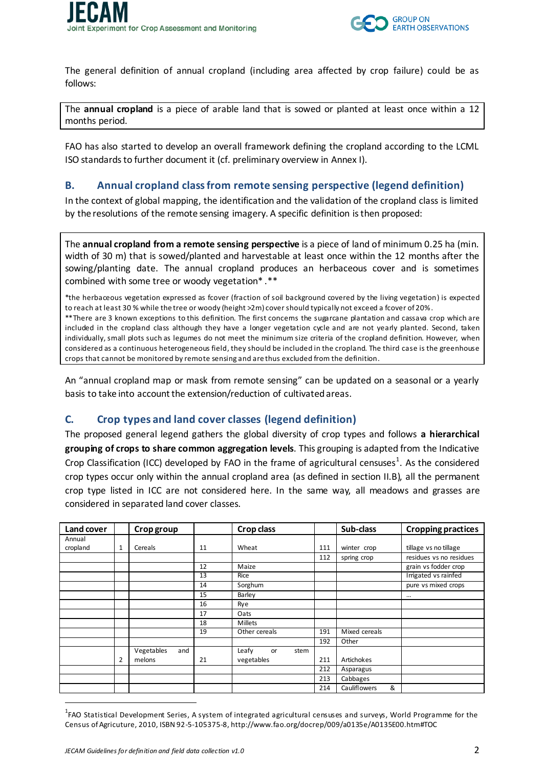

The general definition of annual cropland (including area affected by crop failure) could be as follows:

The **annual cropland** is a piece of arable land that is sowed or planted at least once within a 12 months period.

FAO has also started to develop an overall framework defining the cropland according to the LCML ISO standards to further document it (cf. preliminary overview in Annex I).

#### <span id="page-1-0"></span>**B. Annual cropland class from remote sensing perspective (legend definition)**

In the context of global mapping, the identification and the validation of the cropland class is limited by the resolutions of the remote sensing imagery. A specific definition is then proposed:

The **annual cropland from a remote sensing perspective** is a piece of land of minimum 0.25 ha (min. width of 30 m) that is sowed/planted and harvestable at least once within the 12 months after the sowing/planting date. The annual cropland produces an herbaceous cover and is sometimes combined with some tree or woody vegetation\* .\*\*

\*the herbaceous vegetation expressed as fcover (fraction of soil background covered by the living vegetation) is expected to reach at least 30 % while the tree or woody (height >2m) cover should typically not exceed a fcover of 20%. \*\*There are 3 known exceptions to this definition. The first concerns the sugarcane plantation and cassava crop which are included in the cropland class although they have a longer vegetation cycle and are not yearly planted. Second, taken individually, small plots such as legumes do not meet the minimum size criteria of the cropland definition. However, when considered as a continuous heterogeneous field, they should be included in the cropland. The third case is the greenhouse crops that cannot be monitored by remote sensing and are thus excluded from the definition.

An "annual cropland map or mask from remote sensing" can be updated on a seasonal or a yearly basis to take into account the extension/reduction of cultivated areas.

#### <span id="page-1-1"></span>**C. Crop types and land cover classes (legend definition)**

The proposed general legend gathers the global diversity of crop types and follows **a hierarchical grouping of crops to share common aggregation levels**. This grouping is adapted from the Indicative Crop Classification (ICC) developed by FAO in the frame of agricultural censuses<sup>1</sup>. As the considered crop types occur only within the annual cropland area (as defined in sectio[n II.B\)](#page-1-0), all the permanent crop type listed in ICC are not considered here. In the same way, all meadows and grasses are considered in separated land cover classes.

| <b>Land cover</b> |   | Crop group        |    | <b>Crop class</b>   |     | Sub-class                | <b>Cropping practices</b> |
|-------------------|---|-------------------|----|---------------------|-----|--------------------------|---------------------------|
| Annual            |   |                   |    |                     |     |                          |                           |
| cropland          | 1 | Cereals           | 11 | Wheat               | 111 | winter crop              | tillage vs no tillage     |
|                   |   |                   |    |                     | 112 | spring crop              | residues vs no residues   |
|                   |   |                   | 12 | Maize               |     |                          | grain vs fodder crop      |
|                   |   |                   | 13 | Rice                |     |                          | Irrigated vs rainfed      |
|                   |   |                   | 14 | Sorghum             |     |                          | pure vs mixed crops       |
|                   |   |                   | 15 | Barley              |     |                          | $\cdots$                  |
|                   |   |                   | 16 | Rye                 |     |                          |                           |
|                   |   |                   | 17 | Oats                |     |                          |                           |
|                   |   |                   | 18 | Millets             |     |                          |                           |
|                   |   |                   | 19 | Other cereals       | 191 | Mixed cereals            |                           |
|                   |   |                   |    |                     | 192 | Other                    |                           |
|                   |   | Vegetables<br>and |    | Leafy<br>stem<br>or |     |                          |                           |
|                   | 2 | melons            | 21 | vegetables          | 211 | Artichokes               |                           |
|                   |   |                   |    |                     | 212 | Asparagus                |                           |
|                   |   |                   |    |                     | 213 | Cabbages                 |                           |
|                   |   |                   |    |                     | 214 | <b>Cauliflowers</b><br>& |                           |

<sup>&</sup>lt;sup>1</sup>FAO Statistical Development Series, A system of integrated agricultural censuses and surveys, World Programme for the Census of Agricuture, 2010, ISBN 92-5-105375-8, http://www.fao.org/docrep/009/a0135e/A0135E00.htm#TOC

1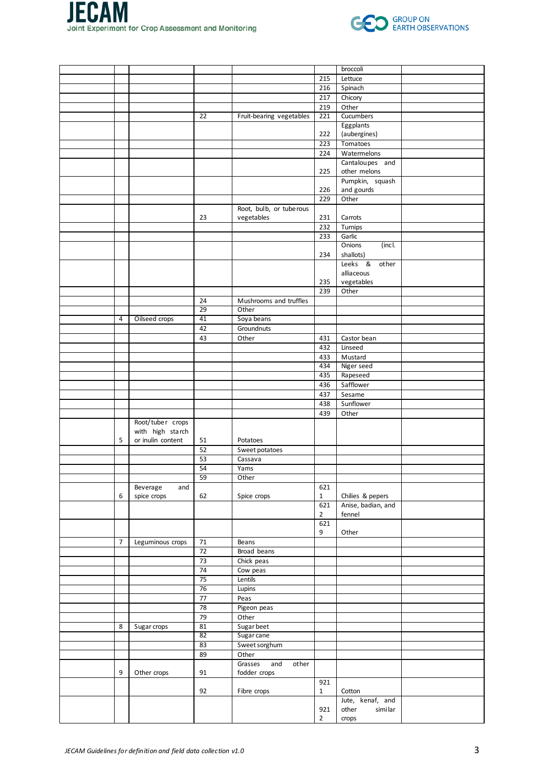



|   |                   |                 |                          |                | broccoli                |  |
|---|-------------------|-----------------|--------------------------|----------------|-------------------------|--|
|   |                   |                 |                          | 215            | Lettuce                 |  |
|   |                   |                 |                          | 216            | Spinach                 |  |
|   |                   |                 |                          | 217            | Chicory                 |  |
|   |                   |                 |                          | 219            | Other                   |  |
|   |                   | $\overline{22}$ | Fruit-bearing vegetables | 221            | Cucumbers               |  |
|   |                   |                 |                          |                | Eggplants               |  |
|   |                   |                 |                          | 222            | (aubergines)            |  |
|   |                   |                 |                          | 223            | Tomatoes                |  |
|   |                   |                 |                          | 224            | Watermelons             |  |
|   |                   |                 |                          |                | Cantaloupes and         |  |
|   |                   |                 |                          | 225            | other melons            |  |
|   |                   |                 |                          |                | Pumpkin, squash         |  |
|   |                   |                 |                          | 226            | and gourds              |  |
|   |                   |                 |                          | 229            | Other                   |  |
|   |                   |                 | Root, bulb, or tube rous |                |                         |  |
|   |                   | 23              | vegetables               | 231            | Carrots                 |  |
|   |                   |                 |                          | 232            | Turnips                 |  |
|   |                   |                 |                          | 233            | Garlic                  |  |
|   |                   |                 |                          |                | <b>Onions</b><br>(incl. |  |
|   |                   |                 |                          | 234            | shallots)               |  |
|   |                   |                 |                          |                | Leeks &<br>other        |  |
|   |                   |                 |                          |                | alliaceous              |  |
|   |                   |                 |                          | 235            | vegetables              |  |
|   |                   |                 |                          | 239            | Other                   |  |
|   |                   | 24              | Mushrooms and truffles   |                |                         |  |
|   |                   | 29              | Other                    |                |                         |  |
| 4 | Oilseed crops     | 41              | Soya beans               |                |                         |  |
|   |                   | 42              | Groundnuts               |                |                         |  |
|   |                   | 43              | Other                    | 431            | Castor bean             |  |
|   |                   |                 |                          | 432            | Linseed                 |  |
|   |                   |                 |                          | 433            | Mustard                 |  |
|   |                   |                 |                          | 434            | Niger seed              |  |
|   |                   |                 |                          | 435            | Rapeseed                |  |
|   |                   |                 |                          |                | Safflower               |  |
|   |                   |                 |                          | 436            |                         |  |
|   |                   |                 |                          | 437            | Sesame                  |  |
|   |                   |                 |                          | 438            | Sunflower               |  |
|   |                   |                 |                          | 439            | Other                   |  |
|   | Root/tuber crops  |                 |                          |                |                         |  |
|   | with high starch  |                 |                          |                |                         |  |
| 5 | or inulin content | 51              | Potatoes                 |                |                         |  |
|   |                   | 52              | Sweet potatoes           |                |                         |  |
|   |                   | 53              | Cassava                  |                |                         |  |
|   |                   | 54              | Yams                     |                |                         |  |
|   |                   | 59              | Other                    |                |                         |  |
|   | Beverage<br>and   |                 |                          | 621            |                         |  |
| 6 | spice crops       | 62              | Spice crops              | $\mathbf{1}$   | Chilies & pepers        |  |
|   |                   |                 |                          | 621            | Anise, badian, and      |  |
|   |                   |                 |                          | $\overline{2}$ | fennel                  |  |
|   |                   |                 |                          | 621            |                         |  |
|   |                   |                 |                          | 9              | Other                   |  |
| 7 | Leguminous crops  | 71              | Beans                    |                |                         |  |
|   |                   | 72              | Broad beans              |                |                         |  |
|   |                   | 73              | Chick peas               |                |                         |  |
|   |                   | 74              | Cow peas                 |                |                         |  |
|   |                   | 75              | Lentils                  |                |                         |  |
|   |                   | 76              | Lupins                   |                |                         |  |
|   |                   | $77 \,$         | Peas                     |                |                         |  |
|   |                   | 78              | Pigeon peas              |                |                         |  |
|   |                   | 79              | Other                    |                |                         |  |
| 8 | Sugar crops       | 81              | Sugar beet               |                |                         |  |
|   |                   | 82              | Sugar cane               |                |                         |  |
|   |                   | 83              | Sweet sorghum            |                |                         |  |
|   |                   | 89              | Other                    |                |                         |  |
|   |                   |                 | Grasses<br>and<br>other  |                |                         |  |
| 9 | Other crops       | 91              | fodder crops             |                |                         |  |
|   |                   |                 |                          | 921            |                         |  |
|   |                   | 92              | Fibre crops              | $\mathbf{1}$   | Cotton                  |  |
|   |                   |                 |                          |                | Jute, kenaf, and        |  |
|   |                   |                 |                          | 921            | other<br>similar        |  |
|   |                   |                 |                          | $\overline{2}$ | crops                   |  |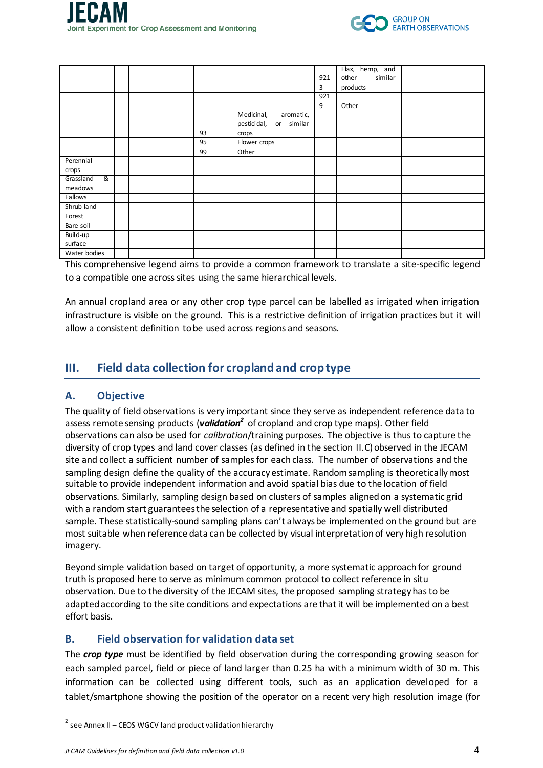



|                |  |    |                            |     | Flax, hemp, and  |  |
|----------------|--|----|----------------------------|-----|------------------|--|
|                |  |    |                            | 921 | similar<br>other |  |
|                |  |    |                            | 3   | products         |  |
|                |  |    |                            | 921 |                  |  |
|                |  |    |                            | 9   | Other            |  |
|                |  |    | Medicinal,<br>aromatic,    |     |                  |  |
|                |  |    | pestici dal,<br>or similar |     |                  |  |
|                |  | 93 | crops                      |     |                  |  |
|                |  | 95 | Flower crops               |     |                  |  |
|                |  | 99 | Other                      |     |                  |  |
| Perennial      |  |    |                            |     |                  |  |
| crops          |  |    |                            |     |                  |  |
| Grassland<br>ଝ |  |    |                            |     |                  |  |
| meadows        |  |    |                            |     |                  |  |
| Fallows        |  |    |                            |     |                  |  |
| Shrub land     |  |    |                            |     |                  |  |
| Forest         |  |    |                            |     |                  |  |
| Bare soil      |  |    |                            |     |                  |  |
| Build-up       |  |    |                            |     |                  |  |
| surface        |  |    |                            |     |                  |  |
| Water bodies   |  |    |                            |     |                  |  |

This comprehensive legend aims to provide a common framework to translate a site-specific legend to a compatible one across sites using the same hierarchical levels.

An annual cropland area or any other crop type parcel can be labelled as irrigated when irrigation infrastructure is visible on the ground. This is a restrictive definition of irrigation practices but it will allow a consistent definition to be used across regions and seasons.

# **III. Field data collection for cropland and crop type**

#### **A. Objective**

The quality of field observations is very important since they serve as independent reference data to assess remote sensing products (validation<sup>2</sup> of cropland and crop type maps). Other field observations can also be used for *calibration*/training purposes. The objective is thus to capture the diversity of crop types and land cover classes (as defined in the section [II.C](#page-1-1)) observed in the JECAM site and collect a sufficient number of samples for each class. The number of observations and the sampling design define the quality of the accuracy estimate. Random sampling is theoretically most suitable to provide independent information and avoid spatial bias due to the location of field observations. Similarly, sampling design based on clusters of samples aligned on a systematic grid with a random start guarantees the selection of a representative and spatially well distributed sample. These statistically-sound sampling plans can't always be implemented on the ground but are most suitable when reference data can be collected by visual interpretation of very high resolution imagery.

Beyond simple validation based on target of opportunity, a more systematic approachfor ground truth is proposed here to serve as minimum common protocol to collect reference in situ observation. Due to the diversity of the JECAM sites, the proposed sampling strategy has to be adapted according to the site conditions and expectations are that it will be implemented on a best effort basis.

#### **B. Field observation for validation data set**

The *crop type* must be identified by field observation during the corresponding growing season for each sampled parcel, field or piece of land larger than 0.25 ha with a minimum width of 30 m. This information can be collected using different tools, such as an application developed for a tablet/smartphone showing the position of the operator on a recent very high resolution image (for

1

 $2$  see Annex II – CEOS WGCV land product validation hierarchy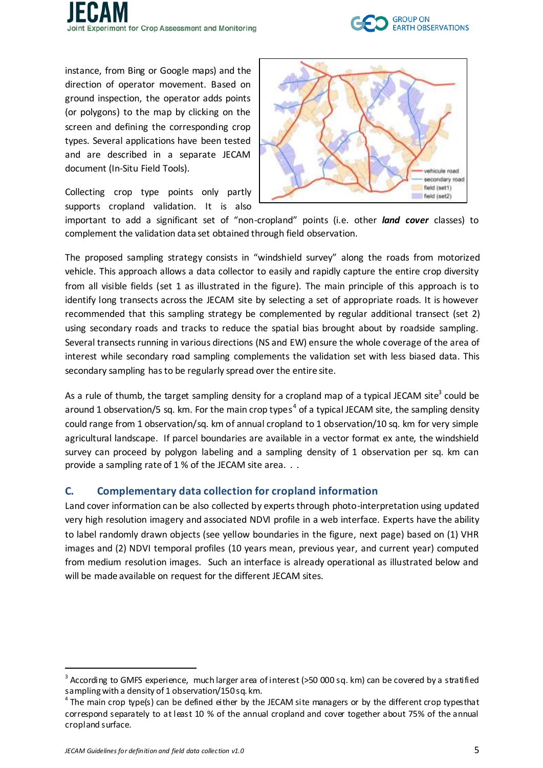



instance, from Bing or Google maps) and the direction of operator movement. Based on ground inspection, the operator adds points (or polygons) to the map by clicking on the screen and defining the corresponding crop types. Several applications have been tested and are described in a separate JECAM document (In-Situ Field Tools).

Collecting crop type points only partly supports cropland validation. It is also



important to add a significant set of "non-cropland" points (i.e. other *land cover* classes) to complement the validation data set obtained through field observation.

The proposed sampling strategy consists in "windshield survey" along the roads from motorized vehicle. This approach allows a data collector to easily and rapidly capture the entire crop diversity from all visible fields (set 1 as illustrated in the figure). The main principle of this approach is to identify long transects across the JECAM site by selecting a set of appropriate roads. It is however recommended that this sampling strategy be complemented by regular additional transect (set 2) using secondary roads and tracks to reduce the spatial bias brought about by roadside sampling. Several transects running in various directions (NS and EW) ensure the whole coverage of the area of interest while secondary road sampling complements the validation set with less biased data. This secondary sampling has to be regularly spread over the entire site.

As a rule of thumb, the target sampling density for a cropland map of a typical JECAM site<sup>3</sup> could be around 1 observation/5 sq. km. For the main crop types<sup>4</sup> of a typical JECAM site, the sampling density could range from 1 observation/sq. km of annual cropland to 1 observation/10 sq. km for very simple agricultural landscape. If parcel boundaries are available in a vector format ex ante, the windshield survey can proceed by polygon labeling and a sampling density of 1 observation per sq. km can provide a sampling rate of 1 % of the JECAM site area. . .

## **C. Complementary data collection for cropland information**

Land cover information can be also collected by experts through photo-interpretation using updated very high resolution imagery and associated NDVI profile in a web interface. Experts have the ability to label randomly drawn objects (see yellow boundaries in the figure, next page) based on (1) VHR images and (2) NDVI temporal profiles (10 years mean, previous year, and current year) computed from medium resolution images. Such an interface is already operational as illustrated below and will be made available on request for the different JECAM sites.

1

 $3$  According to GMFS experience, much larger area of interest (>50 000 sq. km) can be covered by a stratified sampling with a density of 1 observation/150 sq. km.

 $^4$ The main crop type(s) can be defined either by the JECAM site managers or by the different crop typesthat correspond separately to at least 10 % of the annual cropland and cover together about 75% of the annual cropland surface.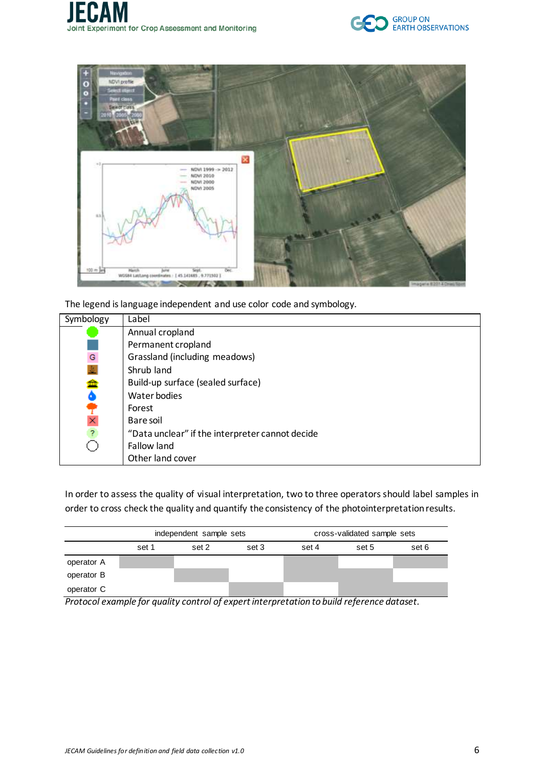



The legend is language independent and use color code and symbology.

| Symbology      | Label                                           |
|----------------|-------------------------------------------------|
|                | Annual cropland                                 |
|                | Permanent cropland                              |
| ${\mathsf G}$  | Grassland (including meadows)                   |
| 业              | Shrub land                                      |
|                | Build-up surface (sealed surface)               |
| ∰              | Water bodies                                    |
|                | Forest                                          |
| ×              | Bare soil                                       |
| $\overline{?}$ | "Data unclear" if the interpreter cannot decide |
|                | Fallow land                                     |
|                | Other land cover                                |

In order to assess the quality of visual interpretation, two to three operators should label samples in order to cross check the quality and quantify the consistency of the photointerpretation results.

|            |       | independent sample sets     |       | cross-validated sample sets                                                                                     |        |       |
|------------|-------|-----------------------------|-------|-----------------------------------------------------------------------------------------------------------------|--------|-------|
|            | set 1 | set 2                       | set 3 | set 4                                                                                                           | set 5  | set 6 |
| operator A |       |                             |       |                                                                                                                 |        |       |
| operator B |       |                             |       |                                                                                                                 |        |       |
| operator C | . .   | $\sim$ $\sim$ $\sim$ $\sim$ |       | the contract of the contract of the contract of the contract of the contract of the contract of the contract of | $\sim$ |       |

*Protocol example for quality control of expert interpretation to build reference dataset.*